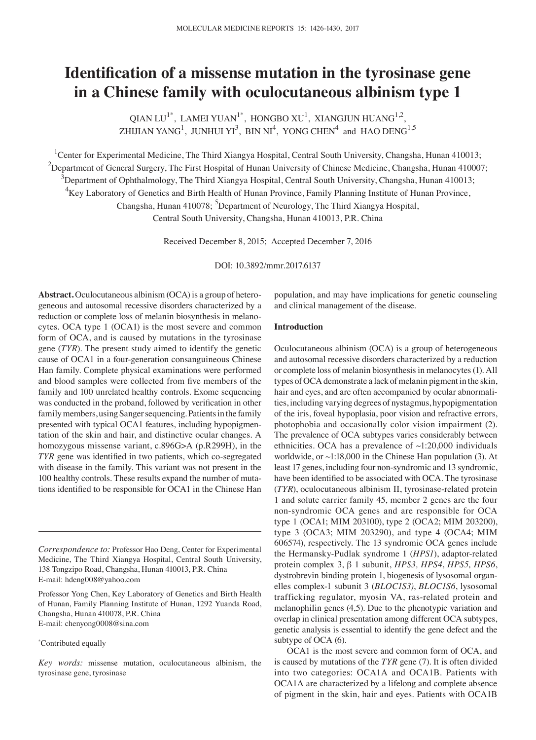# **Identification of a missense mutation in the tyrosinase gene in a Chinese family with oculocutaneous albinism type 1**

QIAN LU<sup>1\*</sup>, LAMEI YUAN<sup>1\*</sup>, HONGBO XU<sup>1</sup>, XIANGJUN HUANG<sup>1,2</sup>, ZHIJIAN YANG $^1$ , JUNHUI YI $^3$ , BIN NI $^4$ , YONG CHEN $^4$  and HAO DENG $^{1,5}$ 

<sup>1</sup>Center for Experimental Medicine, The Third Xiangya Hospital, Central South University, Changsha, Hunan 410013;  $^2$ Department of General Surgery, The First Hospital of Hunan University of Chinese Medicine, Changsha, Hunan 410007;  $^3$ Department of Ophthalmology, The Third Xiangya Hospital, Central South University, Changsha, Hunan 410013; <sup>4</sup>Key Laboratory of Genetics and Birth Health of Hunan Province, Family Planning Institute of Hunan Province, Changsha, Hunan 410078; <sup>5</sup>Department of Neurology, The Third Xiangya Hospital, Central South University, Changsha, Hunan 410013, P.R. China

Received December 8, 2015; Accepted December 7, 2016

DOI: 10.3892/mmr.2017.6137

**Abstract.** Oculocutaneous albinism (OCA) is a group of heterogeneous and autosomal recessive disorders characterized by a reduction or complete loss of melanin biosynthesis in melanocytes. OCA type 1 (OCA1) is the most severe and common form of OCA, and is caused by mutations in the tyrosinase gene (*TYR*). The present study aimed to identify the genetic cause of OCA1 in a four-generation consanguineous Chinese Han family. Complete physical examinations were performed and blood samples were collected from five members of the family and 100 unrelated healthy controls. Exome sequencing was conducted in the proband, followed by verification in other family members, using Sanger sequencing. Patients in the family presented with typical OCA1 features, including hypopigmentation of the skin and hair, and distinctive ocular changes. A homozygous missense variant, c.896G>A (p.R299H), in the *TYR* gene was identified in two patients, which co-segregated with disease in the family. This variant was not present in the 100 healthy controls. These results expand the number of mutations identified to be responsible for OCA1 in the Chinese Han

Professor Yong Chen, Key Laboratory of Genetics and Birth Health of Hunan, Family Planning Institute of Hunan, 1292 Yuanda Road, Changsha, Hunan 410078, P.R. China E-mail: chenyong0008@sina.com

#### \* Contributed equally

*Key words:* missense mutation, oculocutaneous albinism, the tyrosinase gene, tyrosinase

population, and may have implications for genetic counseling and clinical management of the disease.

# **Introduction**

Oculocutaneous albinism (OCA) is a group of heterogeneous and autosomal recessive disorders characterized by a reduction or complete loss of melanin biosynthesis in melanocytes(1). All types of OCA demonstrate a lack of melanin pigment in the skin, hair and eyes, and are often accompanied by ocular abnormalities, including varying degrees of nystagmus, hypopigmentation of the iris, foveal hypoplasia, poor vision and refractive errors, photophobia and occasionally color vision impairment (2). The prevalence of OCA subtypes varies considerably between ethnicities. OCA has a prevalence of  $\sim$ 1:20,000 individuals worldwide, or ~1:18,000 in the Chinese Han population (3). At least 17 genes, including four non-syndromic and 13 syndromic, have been identified to be associated with OCA. The tyrosinase (*TYR*), oculocutaneous albinism II, tyrosinase-related protein 1 and solute carrier family 45, member 2 genes are the four non-syndromic OCA genes and are responsible for OCA type 1 (OCA1; MIM 203100), type 2 (OCA2; MIM 203200), type 3 (OCA3; MIM 203290), and type 4 (OCA4; MIM 606574), respectively. The 13 syndromic OCA genes include the Hermansky-Pudlak syndrome 1 (*HPS1*), adaptor-related protein complex 3, β 1 subunit, *HPS3, HPS4*, *HPS5, HPS6*, dystrobrevin binding protein 1, biogenesis of lysosomal organelles complex-1 subunit 3 (*BLOC1S3)*, *BLOC1S6*, lysosomal trafficking regulator, myosin VA, ras-related protein and melanophilin genes (4,5). Due to the phenotypic variation and overlap in clinical presentation among different OCA subtypes, genetic analysis is essential to identify the gene defect and the subtype of OCA (6).

OCA1 is the most severe and common form of OCA, and is caused by mutations of the *TYR* gene (7). It is often divided into two categories: OCA1A and OCA1B. Patients with OCA1A are characterized by a lifelong and complete absence of pigment in the skin, hair and eyes. Patients with OCA1B

*Correspondence to:* Professor Hao Deng, Center for Experimental Medicine, The Third Xiangya Hospital, Central South University, 138 Tongzipo Road, Changsha, Hunan 410013, P.R. China E-mail: hdeng008@yahoo.com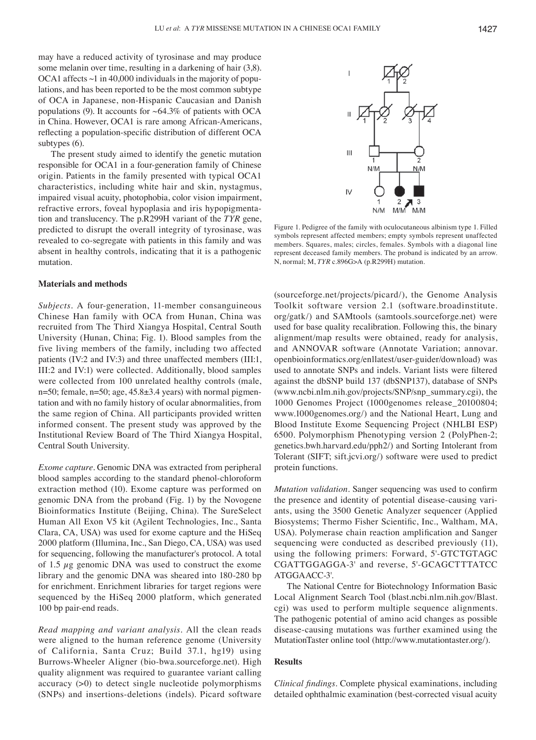may have a reduced activity of tyrosinase and may produce some melanin over time, resulting in a darkening of hair (3,8). OCA1 affects  $\sim$ 1 in 40,000 individuals in the majority of populations, and has been reported to be the most common subtype of OCA in Japanese, non-Hispanic Caucasian and Danish populations (9). It accounts for  $~64.3\%$  of patients with OCA in China. However, OCA1 is rare among African-Americans, reflecting a population‑specific distribution of different OCA subtypes (6).

The present study aimed to identify the genetic mutation responsible for OCA1 in a four-generation family of Chinese origin. Patients in the family presented with typical OCA1 characteristics, including white hair and skin, nystagmus, impaired visual acuity, photophobia, color vision impairment, refractive errors, foveal hypoplasia and iris hypopigmentation and translucency. The p.R299H variant of the *TYR* gene, predicted to disrupt the overall integrity of tyrosinase, was revealed to co-segregate with patients in this family and was absent in healthy controls, indicating that it is a pathogenic mutation.

## **Materials and methods**

*Subjects.* A four-generation, 11-member consanguineous Chinese Han family with OCA from Hunan, China was recruited from The Third Xiangya Hospital, Central South University (Hunan, China; Fig. 1). Blood samples from the five living members of the family, including two affected patients (IV:2 and IV:3) and three unaffected members (III:1, III:2 and IV:1) were collected. Additionally, blood samples were collected from 100 unrelated healthy controls (male, n=50; female,  $n=50$ ; age,  $45.8\pm3.4$  years) with normal pigmentation and with no family history of ocular abnormalities, from the same region of China. All participants provided written informed consent. The present study was approved by the Institutional Review Board of The Third Xiangya Hospital, Central South University.

*Exome capture.* Genomic DNA was extracted from peripheral blood samples according to the standard phenol-chloroform extraction method (10). Exome capture was performed on genomic DNA from the proband (Fig. 1) by the Novogene Bioinformatics Institute (Beijing, China). The SureSelect Human All Exon V5 kit (Agilent Technologies, Inc., Santa Clara, CA, USA) was used for exome capture and the HiSeq 2000 platform (Illumina, Inc., San Diego, CA, USA) was used for sequencing, following the manufacturer's protocol. A total of 1.5  $\mu$ g genomic DNA was used to construct the exome library and the genomic DNA was sheared into 180-280 bp for enrichment. Enrichment libraries for target regions were sequenced by the HiSeq 2000 platform, which generated 100 bp pair-end reads.

*Read mapping and variant analysis.* All the clean reads were aligned to the human reference genome (University of California, Santa Cruz; Build 37.1, hg19) using Burrows-Wheeler Aligner (bio-bwa.sourceforge.net). High quality alignment was required to guarantee variant calling accuracy (>0) to detect single nucleotide polymorphisms (SNPs) and insertions-deletions (indels). Picard software

Figure 1. Pedigree of the family with oculocutaneous albinism type 1. Filled symbols represent affected members; empty symbols represent unaffected members. Squares, males; circles, females. Symbols with a diagonal line represent deceased family members. The proband is indicated by an arrow. N, normal; M, *TYR* c.896G>A (p.R299H) mutation.

(sourceforge.net/projects/picard/), the Genome Analysis Toolkit software version 2.1 (software.broadinstitute. org/gatk/) and SAMtools (samtools.sourceforge.net) were used for base quality recalibration. Following this, the binary alignment/map results were obtained, ready for analysis, and ANNOVAR software (Annotate Variation; annovar. openbioinformatics.org/enllatest/user-guider/download) was used to annotate SNPs and indels. Variant lists were filtered against the dbSNP build 137 (dbSNP137), database of SNPs (www.ncbi.nlm.nih.gov/projects/SNP/snp\_summary.cgi), the 1000 Genomes Project (1000genomes release\_20100804; www.1000genomes.org/) and the National Heart, Lung and Blood Institute Exome Sequencing Project (NHLBI ESP) 6500. Polymorphism Phenotyping version 2 (PolyPhen-2; genetics.bwh.harvard.edu/pph2/) and Sorting Intolerant from Tolerant (SIFT; sift.jcvi.org/) software were used to predict protein functions.

*Mutation validation.* Sanger sequencing was used to confirm the presence and identity of potential disease-causing variants, using the 3500 Genetic Analyzer sequencer (Applied Biosystems; Thermo Fisher Scientific, Inc., Waltham, MA, USA). Polymerase chain reaction amplification and Sanger sequencing were conducted as described previously (11), using the following primers: Forward, 5'-GTCTGTAGC CGATTGGAGGA-3' and reverse, 5'-GCAGCTTTATCC ATGGAACC-3'.

The National Centre for Biotechnology Information Basic Local Alignment Search Tool (blast.ncbi.nlm.nih.gov/Blast. cgi) was used to perform multiple sequence alignments. The pathogenic potential of amino acid changes as possible disease-causing mutations was further examined using the MutationTaster online tool (http://www.mutationtaster.org/).

#### **Results**

*Clinical findings.* Complete physical examinations, including detailed ophthalmic examination (best-corrected visual acuity

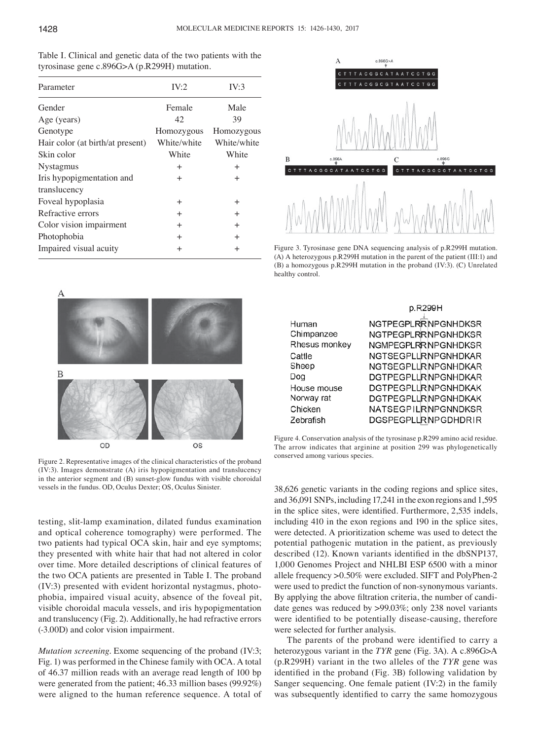| Table I. Clinical and genetic data of the two patients with the |
|-----------------------------------------------------------------|
| tyrosinase gene c.896G>A (p.R299H) mutation.                    |

| Parameter                        | IV:2        | IV:3        |
|----------------------------------|-------------|-------------|
| Gender                           | Female      | Male        |
| Age (years)                      | 42          | 39          |
| Genotype                         | Homozygous  | Homozygous  |
| Hair color (at birth/at present) | White/white | White/white |
| Skin color                       | White       | White       |
| <b>Nystagmus</b>                 | $^{+}$      | $\pm$       |
| Iris hypopigmentation and        | $^{+}$      | $\pm$       |
| translucency                     |             |             |
| Foveal hypoplasia                | $^{+}$      | $\pm$       |
| Refractive errors                | $+$         | $^{+}$      |
| Color vision impairment          | $^{+}$      | $^{+}$      |
| Photophobia                      | $+$         | $\pm$       |
| Impaired visual acuity           | $\ddot{}$   | $^{+}$      |
|                                  |             |             |



Figure 3. Tyrosinase gene DNA sequencing analysis of p.R299H mutation. (A) A heterozygous p.R299H mutation in the parent of the patient (III:1) and (B) a homozygous p.R299H mutation in the proband (IV:3). (C) Unrelated healthy control.



Figure 2. Representative images of the clinical characteristics of the proband (IV:3). Images demonstrate (A) iris hypopigmentation and translucency in the anterior segment and (B) sunset-glow fundus with visible choroidal vessels in the fundus. OD, Oculus Dexter; OS, Oculus Sinister.

testing, slit-lamp examination, dilated fundus examination and optical coherence tomography) were performed. The two patients had typical OCA skin, hair and eye symptoms; they presented with white hair that had not altered in color over time. More detailed descriptions of clinical features of the two OCA patients are presented in Table I. The proband (IV:3) presented with evident horizontal nystagmus, photophobia, impaired visual acuity, absence of the foveal pit, visible choroidal macula vessels, and iris hypopigmentation and translucency (Fig. 2). Additionally, he had refractive errors (-3.00D) and color vision impairment.

*Mutation screening.* Exome sequencing of the proband (IV:3; Fig. 1) was performed in the Chinese family with OCA. A total of 46.37 million reads with an average read length of 100 bp were generated from the patient; 46.33 million bases (99.92%) were aligned to the human reference sequence. A total of

|               | p.R299H                     |
|---------------|-----------------------------|
| Human         | NGTPEGPLRRNPGNHDKSR         |
| Chimpanzee    | NGTPEGPLRRNPGNHDKSR         |
| Rhesus monkey | NGMPEGPLRRNPGNHDKSR         |
| Cattle        | NGTSEGPLURNPGNHDKAR         |
| Sheep         | NGTSEGPLURINPGNHDKAR        |
| Dog           | DGTPEGPLURINPGNHDKAR        |
| House mouse   | <b>DGTPEGPLURINPGNHDKAK</b> |
| Norway rat    | <b>DGTPEGPLURNPGNHDKAK</b>  |
| Chicken       | NATSEGPILRNPGNNDKSR         |
| Zebrafish     | DGSPEGPLLRNPGDHDRIR         |

Figure 4. Conservation analysis of the tyrosinase p.R299 amino acid residue. The arrow indicates that arginine at position 299 was phylogenetically conserved among various species.

38,626 genetic variants in the coding regions and splice sites, and 36,091 SNPs, including 17,241 in the exon regions and 1,595 in the splice sites, were identified. Furthermore, 2,535 indels, including 410 in the exon regions and 190 in the splice sites, were detected. A prioritization scheme was used to detect the potential pathogenic mutation in the patient, as previously described (12). Known variants identified in the dbSNP137, 1,000 Genomes Project and NHLBI ESP 6500 with a minor allele frequency >0.50% were excluded. SIFT and PolyPhen-2 were used to predict the function of non-synonymous variants. By applying the above filtration criteria, the number of candidate genes was reduced by >99.03%; only 238 novel variants were identified to be potentially disease-causing, therefore were selected for further analysis.

The parents of the proband were identified to carry a heterozygous variant in the *TYR* gene (Fig. 3A). A c.896G>A (p.R299H) variant in the two alleles of the *TYR* gene was identified in the proband (Fig. 3B) following validation by Sanger sequencing. One female patient (IV:2) in the family was subsequently identified to carry the same homozygous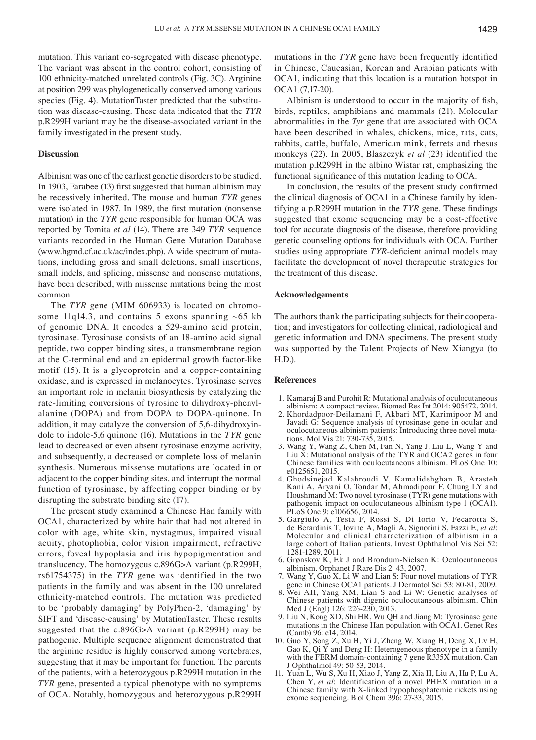mutation. This variant co-segregated with disease phenotype. The variant was absent in the control cohort, consisting of 100 ethnicity-matched unrelated controls (Fig. 3C). Arginine at position 299 was phylogenetically conserved among various species (Fig. 4). MutationTaster predicted that the substitution was disease-causing. These data indicated that the *TYR*  p.R299H variant may be the disease-associated variant in the family investigated in the present study.

## **Discussion**

Albinism was one of the earliest genetic disorders to be studied. In 1903, Farabee (13) first suggested that human albinism may be recessively inherited. The mouse and human *TYR* genes were isolated in 1987. In 1989, the first mutation (nonsense mutation) in the *TYR* gene responsible for human OCA was reported by Tomita *et al* (14). There are 349 *TYR* sequence variants recorded in the Human Gene Mutation Database (www.hgmd.cf.ac.uk/ac/index.php). A wide spectrum of mutations, including gross and small deletions, small insertions, small indels, and splicing, missense and nonsense mutations, have been described, with missense mutations being the most common.

The *TYR* gene (MIM 606933) is located on chromosome 11q14.3, and contains 5 exons spanning  $~65$  kb of genomic DNA. It encodes a 529-amino acid protein, tyrosinase. Tyrosinase consists of an 18-amino acid signal peptide, two copper binding sites, a transmembrane region at the C-terminal end and an epidermal growth factor-like motif (15). It is a glycoprotein and a copper-containing oxidase, and is expressed in melanocytes. Tyrosinase serves an important role in melanin biosynthesis by catalyzing the rate-limiting conversions of tyrosine to dihydroxy-phenylalanine (DOPA) and from DOPA to DOPA-quinone. In addition, it may catalyze the conversion of 5,6-dihydroxyindole to indole-5,6 quinone (16). Mutations in the *TYR* gene lead to decreased or even absent tyrosinase enzyme activity, and subsequently, a decreased or complete loss of melanin synthesis. Numerous missense mutations are located in or adjacent to the copper binding sites, and interrupt the normal function of tyrosinase, by affecting copper binding or by disrupting the substrate binding site (17).

The present study examined a Chinese Han family with OCA1, characterized by white hair that had not altered in color with age, white skin, nystagmus, impaired visual acuity, photophobia, color vision impairment, refractive errors, foveal hypoplasia and iris hypopigmentation and translucency. The homozygous c.896G>A variant (p.R299H, rs61754375) in the *TYR* gene was identified in the two patients in the family and was absent in the 100 unrelated ethnicity-matched controls. The mutation was predicted to be ʻprobably damaging' by PolyPhen‑2, ʻdamaging' by SIFT and 'disease-causing' by MutationTaster. These results suggested that the c.896G>A variant (p.R299H) may be pathogenic. Multiple sequence alignment demonstrated that the arginine residue is highly conserved among vertebrates, suggesting that it may be important for function. The parents of the patients, with a heterozygous p.R299H mutation in the *TYR* gene, presented a typical phenotype with no symptoms of OCA. Notably, homozygous and heterozygous p.R299H mutations in the *TYR* gene have been frequently identified in Chinese, Caucasian, Korean and Arabian patients with OCA1, indicating that this location is a mutation hotspot in OCA1 (7,17-20).

Albinism is understood to occur in the majority of fish, birds, reptiles, amphibians and mammals (21). Molecular abnormalities in the *Tyr* gene that are associated with OCA have been described in whales, chickens, mice, rats, cats, rabbits, cattle, buffalo, American mink, ferrets and rhesus monkeys (22). In 2005, Blaszczyk *et al* (23) identified the mutation p.R299H in the albino Wistar rat, emphasizing the functional significance of this mutation leading to OCA.

In conclusion, the results of the present study confirmed the clinical diagnosis of OCA1 in a Chinese family by identifying a p.R299H mutation in the *TYR* gene. These findings suggested that exome sequencing may be a cost-effective tool for accurate diagnosis of the disease, therefore providing genetic counseling options for individuals with OCA. Further studies using appropriate *TYR*‑deficient animal models may facilitate the development of novel therapeutic strategies for the treatment of this disease.

## **Acknowledgements**

The authors thank the participating subjects for their cooperation; and investigators for collecting clinical, radiological and genetic information and DNA specimens. The present study was supported by the Talent Projects of New Xiangya (to H.D.).

## **References**

- 1. Kamaraj B and Purohit R: Mutational analysis of oculocutaneous albinism: A compact review. Biomed Res Int 2014: 905472, 2014.
- 2. Khordadpoor-Deilamani F, Akbari MT, Karimipoor M and Javadi G: Sequence analysis of tyrosinase gene in ocular and oculocutaneous albinism patients: Introducing three novel muta- tions. Mol Vis 21: 730-735, 2015.
- 3. Wang Y, Wang Z, Chen M, Fan N, Yang J, Liu L, Wang Y and Liu X: Mutational analysis of the TYR and OCA2 genes in four Chinese families with oculocutaneous albinism. PLoS One 10: e0125651, 2015.
- 4. Ghodsinejad Kalahroudi V, Kamalidehghan B, Arasteh Kani A, Aryani O, Tondar M, Ahmadipour F, Chung LY and Houshmand M: Two novel tyrosinase  $(T\hat{Y}R)$  gene mutations with pathogenic impact on oculocutaneous albinism type 1 (OCA1). PLoS One 9: e106656, 2014.
- 5. Gargiulo A, Testa F, Rossi S, Di Iorio V, Fecarotta S, de Berardinis T, Iovine A, Magli A, Signorini S, Fazzi E, et al: Molecular and clinical characterization of albinism in a large cohort of Italian patients. Invest Ophthalmol Vis Sci 52: 1281-1289, 2011.
- 6. Grønskov K, Ek J and Brondum-Nielsen K: Oculocutaneous albinism. Orphanet J Rare Dis 2: 43, 2007.
- 7. Wang Y, Guo X, Li W and Lian S: Four novel mutations of TYR gene in Chinese OCA1 patients. J Dermatol Sci 53: 80-81, 2009.
- 8. Wei AH, Yang XM, Lian S and Li W: Genetic analyses of Chinese patients with digenic oculocutaneous albinism. Chin Med J (Engl) 126: 226-230, 2013.
- 9. Liu N, Kong XD, Shi HR, Wu QH and Jiang M: Tyrosinase gene mutations in the Chinese Han population with OCA1. Genet Res (Camb) 96: e14, 2014.
- 10. Guo Y, Song Z, Xu H, Yi J, Zheng W, Xiang H, Deng X, Lv H, Gao K, Qi Y and Deng H: Heterogeneous phenotype in a family with the FERM domain-containing 7 gene R335X mutation. Can J Ophthalmol 49: 50-53, 2014.
- 11. Yuan L, Wu S, Xu H, Xiao J, Yang Z, Xia H, Liu A, Hu P, Lu A, Chen Y, *et al*: Identification of a novel PHEX mutation in a Chinese family with X-linked hypophosphatemic rickets using exome sequencing. Biol Chem 396: 27-33, 2015.